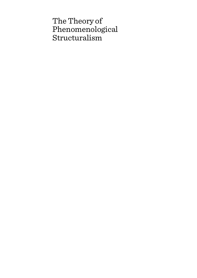# The Theory of Phenomenological Structuralism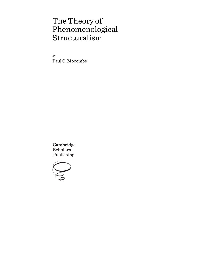# The Theory of Phenomenological Structuralism

By Paul C. Mocombe

Cambridge **Scholars** Publishing

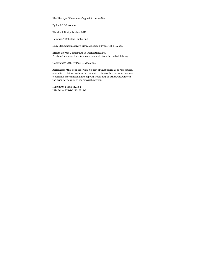The Theory of Phenomenological Structuralism

By Paul C. Mocombe

This book first published 2019

Cambridge Scholars Publishing

Lady Stephenson Library, Newcastle upon Tyne, NE6 2PA, UK

British Library Cataloguing in Publication Data A catalogue record for this book is available from the British Library

Copyright © 2019 by Paul C. Mocombe

All rights for this book reserved. No part of this book may be reproduced, stored in a retrieval system, or transmitted, in any form or by any means, electronic, mechanical, photocopying, recording or otherwise, without the prior permission of the copyright owner.

ISBN (10): 1-5275-2713-1 ISBN (13): 978-1-5275-2713-3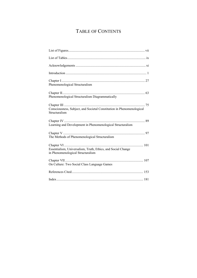# TABLE OF CONTENTS

| Phenomenological Structuralism                                                                    |
|---------------------------------------------------------------------------------------------------|
| Phenomenological Structuralism Diagrammatically                                                   |
| Consciousness, Subject, and Societal Constitution in Phenomenological<br>Structuralism            |
| Learning and Development in Phenomenological Structuralism                                        |
|                                                                                                   |
| The Methods of Phenomenological Structuralism                                                     |
| Essentialism, Universalism, Truth, Ethics, and Social Change<br>in Phenomenological Structuralism |
| On Culture: Two Social Class Language Games                                                       |
|                                                                                                   |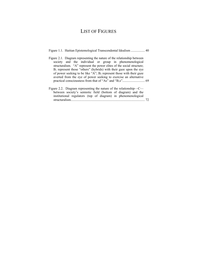## LIST OF FIGURES

|  |  | Figure 1.1. Haitian Epistemological Transcendental Idealism  40 |  |
|--|--|-----------------------------------------------------------------|--|
|--|--|-----------------------------------------------------------------|--|

- Figure 2.1. Diagram representing the nature of the relationship between society and the individual or group in phenomenological structuralism. "A" represent the power elites of the social structure;  $B_1$  represent those "others" (hybrids) with their gaze upon the eye of power seeking to be like "A";  $B_2$  represent those with their gaze averted from the eye of power seeking to exercise an alternative practical consciousness from that of "As" and "B1s"........................... 69
- Figure 2.2. Diagram representing the nature of the relationship—C between society's semiotic field (bottom of diagram) and the institutional regulators (top of diagram) in phenomenological structuralism......................................................................................... 72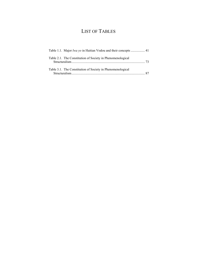# LIST OF TABLES

| Table 2.1. The Constitution of Society in Phenomenological |  |
|------------------------------------------------------------|--|
| Table 3.1. The Constitution of Society in Phenomenological |  |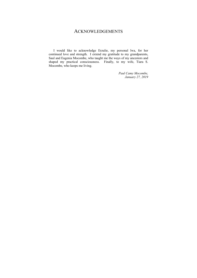### ACKNOWLEDGEMENTS

I would like to acknowledge Erzulie, my personal lwa, for her continued love and strength. I extend my gratitude to my grandparents, Saul and Eugenia Mocombe, who taught me the ways of my ancestors and shaped my practical consciousness. Finally, to my wife, Tiara S. Mocombe, who keeps me living.

> *Paul Camy Mocombe, January 27, 2019*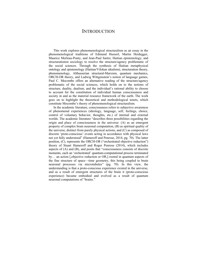## **INTRODUCTION**

This work explores phenomenological structuralism as an essay in the phenomenological traditions of Edmund Husserl, Martin Heidegger, Maurice Merleau-Ponty, and Jean-Paul Sartre; Haitian epistemology; and structurationist sociology to resolve the structure/agency problematic of the social sciences. Through the synthesis of Haitian metaphysical ontology and epistemology (Haitian/Vilokan idealism), structuration theory, phenomenology, Althusserian structural-Marxism, quantum mechanics, ORCH-OR theory, and Ludwig Wittgenstein's notion of language games, Paul C. Mocombe offers an alternative reading of the structure/agency problematic of the social sciences, which holds on to the notions of structure, duality, dualism, and the individual's rational ability to choose to account for the constitution of individual human consciousness and society in and as the material resource framework of the earth. The work goes on to highlight the theoretical and methodological tenets, which constitute Mocombe's theory of phenomenological structuralism.

In the academic literature, consciousness refers to subjective awareness of phenomenal experiences (ideology, language, self, feelings, choice, control of voluntary behavior, thoughts, etc.) of internal and external worlds. The academic literature "describes three possibilities regarding the origin and place of consciousness in the universe: (A) as an emergent property of complex brain neuronal computation, (B) as spiritual quality of the universe, distinct from purely physical actions, and (C) as composed of discrete 'proto-conscious' events acting in accordance with physical laws not yet fully understood" (Hameroff and Penrose, 2014, pg. 70). The latter position, (C), represents the ORCH-OR ("orchestrated objective reduction") theory of Stuart Hameroff and Roger Penrose (2014), which includes aspects of (A) and (B), and posits that "consciousness consists of discrete moments, each an 'orchestrated' quantum-computational process terminated by… an action [,objective reduction or OR,] rooted in quantum aspects of the fine structure of space—time geometry, this being coupled to brain neuronal processes via microtubules" (pg. 70). In this view, the understanding is that a proto-conscious experience existed in the universe, and as a result of emergent structures of the brain it (proto-conscious experience) became embodied and evolved as a result of quantum neuronal computations of "brains."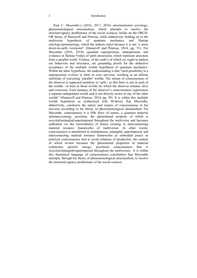Paul C. Mocombe's (2016, 2017, 2018) structurationist sociology, phenomenological structuralism, which attempts to resolve the structure/agency problematic of the social sciences, builds on the ORCH-OR theory of Hameroff and Penrose, while abductively holding on to the multiverse hypothesis of quantum mechanics and Haitian ontology/epistemology, which the authors reject because it is not "a more down-to-earth viewpoint" (Hameroff and Penrose, 2014, pg. 51). For Mocombe (2016, 2018), quantum superposition, entanglement, and evidence in Haitian Vodou of spirit possession, which represent ancestors from a parallel world, Vilokan, of the earth's of which we ought to pattern our behaviors and structures, are grounding proofs for the abductive acceptance of the multiple worlds hypothesis of quantum mechanics. Within the latter hypothesis, the understanding is that "each possibility in a superposition evolves to form its own universe, resulting in an infinite multitude of coexisting 'parallel' worlds. The stream of consciousness of the observer is supposed somehow to 'split', so that there is one in each of the worlds—at least in those worlds for which the observer remains alive and conscious. Each instance of the observer's consciousness experiences a separate independent world, and is not directly aware of any of the other worlds" (Hameroff and Penrose, 2014, pg. 50). It is within this multiple worlds hypothesis as synthesized with M-theory that Mocombe, abductively, constructs the nature and origins of consciousness in the universe according to his theory of phenomenological structuralism. For Mocombe, consciousness is a fifth force of nature, a quantum material substance/energy, psychion, the phenomenal property of which is recycled/entangled/superimposed throughout the multiverse and becomes embodied via the microtubules of brains existing in interconnecting material resource frameworks of multiverses. In other words, consciousness is manifested in simultaneous, entangled, superimposed, and interconnecting material resource frameworks as embodied praxis or practical consciousness tied to social relations of production, the content of which in-turn becomes the phenomenal properties of material (subatomic particle energy, psychion) consciousness that is recycled/entangled/superimposed throughout the multiverses. It is within this theoretical language of consciousness constitution that Mocombe attempts, through his theory of phenomenological structuralism, to resolve the structural-agency problematic of the social sciences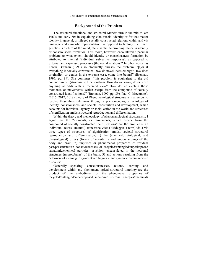#### **Background of the Problem**

The structural-functional and structural Marxist turn in the mid-to-late 1960s and early 70s in explaining ethnic/racial identity or for that matter identity in general, privileged socially constructed relations within and via language and symbolic representation, as opposed to biology (i.e., race, genetics, structure of the mind, etc.), as the determining factor in identity or consciousness formation. This move, however, encountered a peculiar problem: to what extent should identity or consciousness formation be attributed to internal (individual subjective responses), as opposed to external and expressed processes (the social relations)? In other words, as Teresa Brennan (1997) so eloquently phrases the problem, "[f]or if everything is socially constructed, how do novel ideas emerge? How does originality, or genius in the extreme case, come into being?" (Brennan, 1997, pg. 89). She continues, "this problem is equivalent to the old conundrum of [(structural)] functionalism. How do we know, do or write anything at odds with a received view? How do we explain those moments, or movements, which escape from the compound of socially constructed identifications?" (Brennan, 1997, pg. 89). Paul C. Mocombe's (2016, 2017, 2018) theory of Phenomenological structuralism attempts to resolve these three dilemmas through a phenomenological ontology of identity, consciousness, and societal constitution and development, which accounts for individual agency or social action in the world and structures of signification amidst structural reproduction and differentiation.

Within the theory and methodology of phenomenological structuralism, I argue that the "moments, or movements, which escape from the compound of socially constructed identifications" are the product of an individual actors' (mental) stance/analytics (Heidegger's term) vis-à-vis three types of structures of signification amidst societal structural reproduction and differentiation, 1) the (chemical, biological, and physiological) drives (forms of sensibility and understanding) of the body and brain, 2) impulses or phenomenal properties of residual past/present/future consciousnesses or recycled/entangled/superimposed subatomic/chemical particles, psychion, encapsulated in the neuronal structures (microtubules) of the brain, 3) and actions resulting from the deferment of meaning in ego-centered linguistic and symbolic communicative discourse.

Generally speaking, consciousnesses, actions, learning, and development within my phenomenological structural ontology are the product of the embodiment of the phenomenal properties of recycled/entangled/superimposed subatomic neuronal energies/chemicals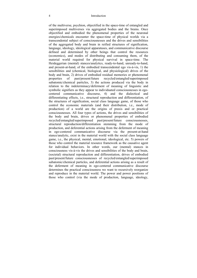of the multiverse, psychion, objectified in the space-time of entangled and superimposed multiverses via aggregated bodies and the brains. Once objectified and embodied the phenomenal properties of the neuronal energies/chemicals encounter the space-time of physical worlds via a transcendental subject of consciousnesses and the drives and sensibilities of the aggregated body and brain in reified structures of signification, language, ideology, ideological apparatuses, and communicative discourse defined and determined by other beings that control the resources (economics), and modes of distributing and consuming them, of the material world required for physical survival in space-time. The Heideggerian (mental) stances/analytics, ready-to-hand, unready-to-hand, and present-at-hand, of the embodied transcendental ego vis-à-vis, 1) the sensibilities and (chemical, biological, and physiological) drives of the body and brain, 2) drives of embodied residual memories or phenomenal properties of past/present/future recycled/entangled/superimposed subatomic/chemical particles, 3) the actions produced via the body in relation to the indeterminacy/deferment of meaning of linguistic and symbolic signifiers as they appear to individuated consciousnesses in egocentered communicative discourse, 4) and the dialectical and differentiating effects, i.e., structural reproduction and differentiation, of the structures of signification, social class language game, of those who control the economic materials (and their distribution, i.e., mode of production) of a world are the origins of praxis and or practical consciousnesses. All four types of actions, the drives and sensibilities of the body and brain, drives or phenomenal properties of embodied recycled/entangled/superimposed past/present/future consciousnesses, structural reproduction/differentiation stemming from the mode of production, and deferential actions arising from the deferment of meaning in ego-centered communicative discourse via the present-at-hand stance/analytic, exist in the material world with the social class language game, i.e., the physical, mental, emotional, ideological, etc. 5) powers of those who control the material resource framework as the causative agent for individual behaviors. In other words, our (mental) stances in consciousness vis-à-vis the drives and sensibilities of the body and brain, (societal) structural reproduction and differentiation, drives of embodied past/present/future consciousnesses of recycled/entangled/superimposed subatomic/chemical particles, and deferential actions arising as a result of the deferment of meaning in ego-centered communicative discourse determines the practical consciousness we want to recursively reorganize and reproduce in the material world. The power and power positions of those who control (via the mode of production, language, ideology,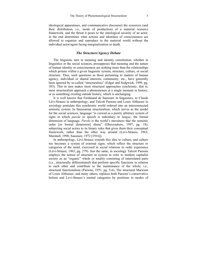ideological apparatuses, and communicative discourse) the resources (and their distribution, i.e., mode of production) of a material resource framework, and the threat it poses to the ontological security of an actor, in the end determines what actions and identities of consciousness are allowed to organize and reproduce in the material world without the individual actor/agent facing marginalization or death.

#### *The Structure/Agency Debate*

The linguistic turn in meaning and identity constitution, whether in linguistics or the social sciences, presupposes that meaning and the nature of human identity or consciousness are nothing more than the relationships which pertain within a given linguistic system, structure, culture, or social structure. Thus, such questions as those pertaining to matters of human agency, individual or shared interests, community, etc., have generally been ignored by so-called "structuralists" (Edgar and Sedgwick, 1999, pg. 383). This in turn makes most structural approaches synchronic; that is, most structuralists approach a phenomenon at a single moment in history, or as something existing outside history, which is unchanging.

It is well known that Ferdinand de Saussure in linguistics, to Claude Lévi-Strauss in anthropology, and Talcott Parsons and Louis Althusser in sociology postulate this synchronic world ordered into an interconnected semiotic system. In Saussurean structuralism, which serves as the model for the social sciences, language "is viewed as a purely arbitrary system of signs in which *parole* or speech is subsidiary to *langue*, the formal dimension of language. *Parole* is the world's messiness that the semiotic order [or formal dimension] shuns" (Obeyesekere, 1997, pg. 18), subjecting social actors to its binary rules that gives them their conceptual framework, rather than the other way around (Levi-Strauss, 1963; Marshall, 1998; Saussure, 1972 [1916]).

In anthropology, Lévi-Strauss extends this idea to culture, and culture too becomes a system of external signs, which reflect the structure or categories of the mind, exercised in social relations to order experience (Lévi-Strauss, 1963, pg. 279). Just the same, in sociology Talcott Parsons employs the notion of structure or system to refer to modern capitalist society as an "organic" whole or totality consisting of interrelated parts (i.e., structurally differentiated) that perform specific functions in relation to each other and contribute to the maintenance of the whole, i.e., structural functionalism (Parsons, 1951, pg. 5-6). The structural Marxism of Louis Althusser, and many others, replaces both Parsons's conservative holism and Levi-Strauss's mental categories by positions in modes of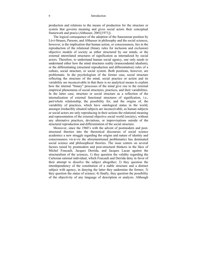production and relations to the means of production for the structure or system that governs meaning and gives social actors their conceptual framework and praxis (Althusser, 2001[1971]).

The logical consequence of the adoption of the Saussurean position by Lévi-Strauss, Parsons, and Althusser in philosophy and the social sciences, however, is the implication that human action, or consciousness, lies in the reproduction of the relational (binary rules for inclusion and exclusion) objective models of society as either structured by our minds, or the external interrelated structures of signification as internalized by social actors. Therefore, to understand human social agency, one only needs to understand either how the mind structures reality (transcendental idealism), or the differentiating (structural reproduction and differentiation) rules of a culture, social structure, or social system. Both positions, however, are problematic. In the psychologism of the former case, social structure reflecting the structure of the mind, social practice or action and its variability are inconceivable in that there is no analytical means to explain how the internal "binary" processes of the mind give rise to the external empirical phenomena of social structures, practices, and their variabilities. In the latter case, structure or social structure as a reflection of the internalization of external functional structures of signification, i.e., part/whole relationship, the possibility for, and the origins of, the variability of practices, which have ontological status in the world, amongst irreducibly situated subjects are inconceivable, as human subjects or social actors are only reproducing in their actions the relational meaning and representation of the external objective social world (society), without any alternative practices, deviations, or improvisations outside of the structural reproduction and differentiation of the social structure.

Moreover, since the 1960's with the advent of postmodern and poststructural theories into the theoretical discourses of social science academics a new struggle regarding the origins and nature of identity and consciousness vis-à-vis the aforementioned problematics has dominated social science and philosophical theories. The issue centers on several factors raised by postmodern and post-structural thinkers in the likes of Michel Foucault, Jacques Derrida, and Jacques Lacan against the structuralism of the sciences, 1) they question the validity regarding the Cartesian rational individual, which Foucault and Derrida deny in favor of their attempt to dissolve the subject altogether; 2) they question the interdependency of the constitution of a stable structure and a distinct subject with agency, in denying the latter they undermine the former; 3) they question the status of science; 4) finally, they question the possibility of the objectivity of any language of description or analysis. Although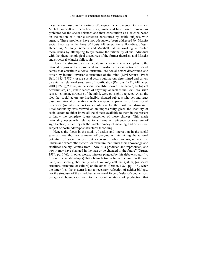these factors raised in the writings of Jacques Lacan, Jacques Derrida, and Michel Foucault are theoretically legitimate and have posed tremendous problems for the social sciences and their constitution as a science based on the notion of a stable structure constituted by stable subjects with agency. These problems have not adequately been addressed by Marxist social theorists in the likes of Louis Althusser, Pierre Bourdieu, Jürgen Habermas, Anthony Giddens, and Marshall Sahlins working to resolve these issues by attempting to synthesize the rationality of the individual with the phenomenological discourses of the former theorists, and Marxist and structural Marxist philosophy.

Hence the structure/agency debate in the social sciences emphasize the rational origins of the reproduced and transformed social actions of social actors that constitute a social structure: are social actors determined and driven by internal invariable structures of the mind (Lévi-Strauss, 1963; Bell, 1985 [1982]), or are social actors automatons determined and driven by external relational structures of signification (Parsons, 1951; Althusser, 2001 [1971]))? Thus, in the social scientific form of the debate, biological determinism, i.e., innate senses of anything, as well as the Lévi-Straussian sense, i.e., innate structure of the mind, were out rightly rejected. Also, the idea that social actors are irreducibly situated subjects who act and react based on rational calculations as they respond to particular external social processes (social structure) or stimuli was for the most part dismissed. Total rationality was viewed as an impossibility given the inability of social actors to either know all the choices available to them in the present or know the complete future outcomes of those choices. This made rationality necessarily relative to a frame of reference or structure of signification, which rejects the indeterminacy of meaning and decentered subject of postmodern/post-structural theorizing.

Hence, the focus in the study of action and interaction in the social sciences was thus not a matter of denying or minimizing the rational potential of social actors, but expressed rather an urgent need to understand where 'the system' or structure that limits their knowledge and stabilizes society "comes from—how it is produced and reproduced, and how it may have changed in the past or be changed in the future" (Ortner, 1984, pg. 146). In other words, thinkers plagued by this debate, sought "to explain the relationship(s) that obtain between human action, on the one hand, and some global entity which we may call the system, [or social structure, structure, or culture] on the other" (Ortner, 1984, pg. 148), when the latter (i.e., the system) is not a necessary reflection of neither biology, nor the structure of the mind, but an external force of rules of conduct, i.e., categorical boundaries, tied to the social relations of production that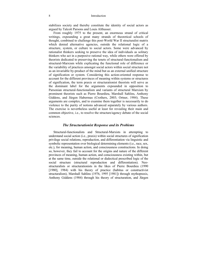stabilizes society and thereby constitute the identity of social actors as argued by Talcott Parsons and Louis Althusser.

From roughly 1975 to the present, an enormous strand of critical writings, expounding a great many strands of theoretical schools of thought, combined to challenge this post-World War II structuralist matrix which denied alternative agencies, outside the relational logic of a structure, system, or culture to social actors. Some were advanced by rationalist thinkers seeking to preserve the idea of individuals as solitary thinkers who act in a purposive rational way, while others were offered by theorists dedicated to preserving the tenets of structural-functionalism and structural-Marxism while explicating the functional role of difference or the variability of practices amongst social actors within social structure not as an invariable by-product of the mind but as an external unified structure of signification or system. Considering this action-oriented response to account for the different provinces of meaning within systems or structures of signification, the term praxis or structurationist theorists will serve as the dominant label for the arguments expounded in opposition to Parsonian structural-functionalism and variants of structural Marxism by prominent theorists such as Pierre Bourdieu, Marshall Sahlins, Anthony Giddens, and Jürgen Habermas (Crothers, 2003; Ortner, 1984). These arguments are complex, and to examine them together is necessarily to do violence to the purity of notions advanced separately by various authors. The exercise is nevertheless useful at least for revealing their main and common objective, i.e., to resolve the structure/agency debate of the social sciences.

#### *The Structurationist Response and its Problems*

Structural-functionalists and Structural-Marxists in attempting to understand social action (i.e., praxis) within social structures of signification privilege social relations, reproduction, and differentiation via linguistic and symbolic representation over biological determining elements (i.e., race, sex, etc.), for meaning, human action, and consciousness constructions. In doing so, however, they fail to account for the origins and nature of the different provinces of meaning, human action, and consciousness existing within, but at the same time, outside the relational or dialectical prescribed logic of the social structure (structural reproduction and differentiation). Neostructuralists or structurationists in the likes of Pierre Bourdieu (1990 [1980], 1984) with his theory of practice (habitus or constructivist structuralism), Marshall Sahlins (1976, 1995 [1981]) through mythopraxis, Anthony Giddens (1984) through his theory of structuration, and Jürgen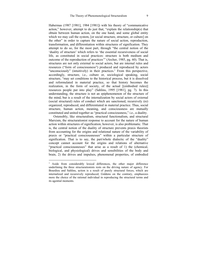Habermas (1987 [1981], 1984 [1981]) with his theory of "communicative action," however, attempt to do just that, "explain the relationship(s) that obtain between human action, on the one hand, and some global entity which we may call the system, [or social structure, structure, or culture] on the other" in order to capture the nature of social action, reproduction, transformation, and differentiation within structures of signification. They attempt to do so, for the most part, through "the central notion of the 'duality of structure' which refers to 'the essential recursiveness of social life, as constituted in social practices: structure is both medium and outcome of the reproduction of practices'" (Archer, 1985, pg. 60). That is, structures are not only external to social actors, but are internal rules and resources ("form of consciousness") produced and reproduced by actors "unconsciously" (intuitively) in their practices.<sup>1</sup> From this perspective, accordingly, structure, i.e., culture or, sociological speaking, social structure, "may set conditions to the historical process, but it is dissolved and reformulated in material practice, so that history becomes the realization, in the form of society, of the actual [(embodied rules)] resources people put into play" (Sahlins, 1995 [1981], pg. 7). In this understanding, the structure is not an epiphenomenon of the structure of the mind, but is a result of the internalization by social actors of external (social structural) rules of conduct which are sanctioned, recursively (re) organized, reproduced, and differentiated in material practice. Thus, social structure, human action, meaning, and consciousness are mutually constituted and united together as "practical consciousness," i.e., a duality.

Ostensibly, like structuralism, structural functionalism, and structural Marxism, the structurationist response to account for the nature of human action within structures of signification, however, is also problematic. That is, the central notion of the duality of structure prevents praxis theorists from accounting for the origins and relational nature of the variability of praxis or "practical consciousnesses" within a particular structure of signification. That is to say, the part/whole dialectic of the "duality" concept cannot account for the origins and relations of alternative "practical consciousnesses" that arise as a result of 1) the (chemical, biological, and physiological) drives and sensibilities of the body and brain, 2) the drives and impulses, phenomenal properties, of embodied

 $\overline{a}$ 

Aside from considerably lexical differences, the other major difference underlining the three structurationists rests on the driving nature of agency. For Bourdieu and Sahlins, action is a result of purely structural forces, which are internalized and recursively reproduced; Giddens on the contrary, emphasizes more the choice of the rational individual in reproducing the structural terms and its agential moments.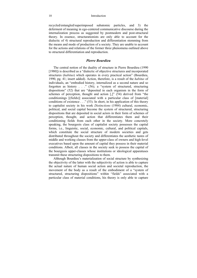recycled/entangled/superimposed subatomic particles, and 3) the deferment of meaning in ego-centered communicative discourse during the internalization process as suggested by postmodern and post-structural theory. In essence, structurationists are only able to account for the dialectic of 4) structural reproduction and differentiation stemming from the means and mode of production of a society. They are unable to account for the actions and relations of the former three phenomena outlined above to structural differentiation and reproduction.

#### *Pierre Bourdieu*

The central notion of the duality of structure in Pierre Bourdieu (1990 [1980]) is described as a "dialectic of objective structures and incorporated structures (*habitus*) which operates in every practical action" (Bourdieu, 1990, pg. 41; insert added). Action, therefore, is a result of the *habitus* of individuals, an "embodied history, internalized as a second nature and so forgotten as history . . ."  $(56)$ ; a "system of structured, structuring dispositions" (52) that are "deposited in each organism in the form of schemes of perception, thought and action [,]" (54) derived from "the conditionings [(fields)] associated with a particular class of [material] conditions of existence  $\dots$  " (53). In short, in his application of this theory to capitalist society in his work *Distinctions* (1984) cultural, economic, political, and social capital become the system of structured, structuring dispositions that are deposited in social actors in their form of schemes of perception, thought, and action that differentiates them and their conditioning fields from each other in the society. More concretely speaking, the bourgeois class of capitalist society possesses the capital forms, i.e., linguistic, social, economic, cultural, and political capitals, which constitute the social structure of modern societies and gets distributed throughout the society and differentiates the aesthetic tastes of middle and working classes from the upper-class of owners and high-level executives based upon the amount of capital they possess in their material conditions. Albeit, all classes in the society seek to possess the capital of the bourgeois upper-classes whose institutions or ideological apparatuses transmit these structuring dispositions to them.

Although Bourdieu's materialization of social structure by synthesizing the objectivity of the latter with the subjectivity of action is able to capture the actual nature of human social action and societal reproduction, the movement of the body as a result of the embodiment of a "system of structured, structuring dispositions" within "fields" associated with a particular class of material conditions, his theory is only able to capture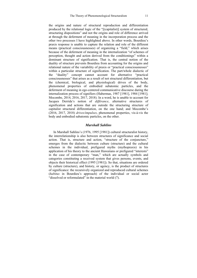the origins and nature of structural reproduction and differentiation produced by the relational logic of the "[(capitalist)] system of structured, structuring dispositions" and not the origins and role of difference arrived at through the deferment of meaning in the incorporation process and the other two processes I have highlighted above. In other words, Bourdieu's praxis response is unable to capture the relation and role of the different means (practical consciousnesses) of organizing a "field," which arises because of the deferment of meaning in the internalization "of schemes of perception, thought and action derived from the conditionings" within a dominant structure of signification. That is, the central notion of the duality of structure prevents Bourdieu from accounting for the origins and relational nature of the variability of praxis or "practical consciousnesses" within a particular structure of signification. The part/whole dialectic of the "duality" concept cannot account for alternative "practical consciousnesses" that arises as a result of not structural differentiation, but the (chemical, biological, and physiological) drives of the body, phenomenal properties of embodied subatomic particles, and the deferment of meaning in ego-centered communicative discourse during the internalization process of signifiers (Habermas, 1987 [1981], 1984 [1981]; Mocombe, 2014, 2016, 2017, 2018). In a word, he is unable to account for Jacques Derrida's notion of *différance*, alternative structures of signification and actions that are outside the structuring structure of capitalist structural differentiation, on the one hand; and Mocombe's (2016, 2017, 2018) *drives/impulses*, phenomenal properties, vis-à-vis the body and embodied subatomic particles, on the other.

#### *Marshall Sahlins*

In Marshall Sahlins's (1976, 1995 [1981]) cultural structuralist history, the interrelationship is also between structures of significance and social action. That is, structure and action, "structure of the conjuncture," emerges from the dialectic between culture (structure) and the cultural schemes in the individual, prefigured myths (mythopraxis) in his application of his theory to the ancient Hawaiians or prefigured "interests" in the case of contemporary "man," which are actually symbols and categories constituting a received system that gives persons, events, and objects their historical effect (1995 [1981]). So that, situations are ordered by culture (structure), and history, or agency, is the product of structures of significance: the recursively organized and reproduced cultural schemes (*habitus* in Bourdieu's approach) of the individual or social actor "dissolved or reformulated" in the material world (7).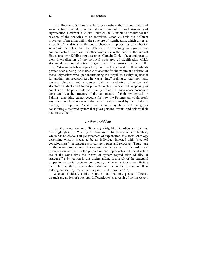Like Bourdieu, Sahlins is able to demonstrate the material nature of social action derived from the internalization of external structures of signification. However, also like Bourdieu, he is unable to account for the relation of the analytics of an individual actor vis-à-vis the different provinces of meaning within the structure of signification, which arises as a result of the drives of the body, phenomenal properties of embodied subatomic particles, and the deferment of meaning in ego-centered communicative discourse. In other words, as in the case of the ancient Hawaiians, who Sahlins argue assumed Captain Cook to be a god because their internalization of the mythical structures of signification which structured their social action or gave them their historical effect at the time, "structure-of-the-conjuncture," of Cook's arrival to their islands posited such a being, he is unable to account for the nature and relation of those Polynesians who upon internalizing this "mythical reality" rejected it for another interpretation, i.e., he was a "thug" seeking to steal their land, women, children, and resources. Sahlins' conflating of action and structures mutual constitution prevents such a materialized happening or conclusion. The part/whole dialectic by which Hawaiian consciousness is constituted via the structure of the conjuncture of their mythopraxis in Sahlins' theorizing cannot account for how the Polynesians could reach any other conclusions outside that which is determined by their dialectic totality, mythopraxis, "which are actually symbols and categories constituting a received system that gives persons, events, and objects their historical effect."

#### *Anthony Giddens*

Just the same, Anthony Giddens (1984), like Bourdieu and Sahlins, also highlights this "*duality* of structure." His theory of structuration, which has no obvious single statement of explanation, is a social ontology describing what it means to be an individual invested with "practical consciousness"—a structure's or culture's rules and resources. Thus, "one of the main propositions of structuration theory is that the rules and resources drawn upon in the production and reproduction of social action are at the same time the means of system reproduction (duality of structure)" (19). Action in this understanding is a result of the structural properties of social systems consciously and unconsciously manifesting themselves in the practices that individuals, in order to maintain their ontological security, recursively organize and reproduce (25).

Whereas Giddens, unlike Bourdieu and Sahlins, posits difference through the notion of structural differentiation as a result of the threat to a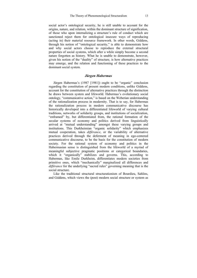social actor's ontological security, he is still unable to account for the origins, nature, and relation, within the dominant structure of signification, of those who upon internalizing a structure's rule of conduct which are sanctioned reject them for ontological insecure ways of reproducing (acting in) their material resource framework. In other words, Giddens, through his notion of "ontological security," is able to demonstrate how and why social actors choose to reproduce the external structural properties of social systems, which after a while simply become a second nature forgotten as history. What he is unable to demonstrate, however, given his notion of the "duality" of structure, is how alternative practices may emerge, and the relation and functioning of these practices to the dominant social system.

#### *Jürgen Habermas*

Jürgen Habermas's (1987 [1981]) ought to be "organic" conclusion regarding the constitution of present modern conditions, unlike Giddens, account for the constitution of alternative practices through the distinction he draws between system and lifeworld. Habermas's evolutionary social ontology, "communicative action," is based on the Weberian understanding of the rationalization process in modernity. That is to say, for Habermas the rationalization process in modern communicative discourse has historically developed into a differentiated lifeworld of varying cultural traditions, networks of solidarity groups, and institutions of socialization, "enframed" by, but differentiated from, the rational formation of the secular systems of economy and politics derived from linguistically arrived at "mutual understanding" amongst these varying groups and institutions. This Durkheimian "organic solidarity" which emphasizes mutual cooperation, takes *différance*, or the variability of alternative practices derived through the deferment of meaning in ego-centered communicative discourse, to be the basis for the constitution of modern society. For the rational system of economy and politics in the Habermasian sense is distinguished from the lifeworld of a myriad of meaningful subjective pragmatic positions or categorical boundaries, which it "organically" stabilizes and governs. This, according to Habermas, like Emile Durkheim, differentiates modern societies from primitive ones, which "mechanically" marginalized all differences and *différance* for the underlying "sacred rules" governing meaning that is the social structure.

Like the traditional structural structurationism of Bourdieu, Sahlins, and Giddens, which views the (post) modern social structure or system as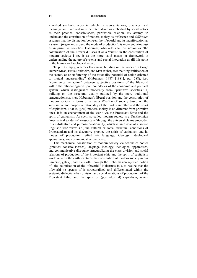a reified symbolic order in which its representations, practices, and meanings are fixed and must be internalized or embodied by social actors as their practical consciousness, part/whole relation, my attempt to understand the constitution of modern society as difference and *différance* assumes that the distinction between the lifeworld and its manifestation as a system (organized around the mode of production), is more enduring just as in primitive societies. Habermas, who refers to this notion as "the colonization of the lifeworld," sees it as a "crisis" in the constitution of modern society; I see it as the more valid means or framework to understanding the nature of systems and social integration up till this point in the human archaeological record.

To put it simply, whereas Habermas, building on the works of George Herbert Mead, Emile Durkheim, and Max Weber, sees the "linguistification of the sacred, as an unfettering of the rationality potential of action oriented to mutual understanding" (Habermas, 1987 [1981], pg. 288), i.e., "communicative action" between subjective positions of the lifeworld within the rational agreed upon boundaries of the economic and political system, which distinguishes modernity from "primitive societies." I, building on the structural duality outlined by the more traditional structurationists, view Habermas's liberal position and the constitution of modern society in terms of a *re-sacrilization* of society based on the substantive and purposive rationality of the Protestant ethic and the spirit of capitalism. That is, (post) modern society is no different from primitive ones. It is an enchantment of the world via the Protestant Ethic and the spirit of capitalism. As such, so-called modern society is a Durkheimian "mechanical solidarity" *re-sacrilized* through the universal claims embedded in a substantive and purposive-rationality, which is an avatar of a sacred linguistic worldview, i.e., the cultural or social structural conditions of Protestantism and its discursive practice the spirit of capitalism and its modes of production reified via language, ideology, ideological apparatuses, and communicative discourse.

This mechanical constitution of modern society via actions of bodies (practical consciousnesses), language, ideology, ideological apparatuses, and communicative discourse structuralizing the class division and social relations of production of the Protestant ethic and the spirit of capitalism worldview on the earth, captures the constitution of modern society in our universe, galaxy, and the earth, through the Habermasian rejected notion of "the colonization of the lifeworld." Habermas fails to realize that the lifeworld he speaks of is structuralized and differentiated within the systemic dialectic, class division and social relations of production, of the Protestant Ethic and the spirit of (postindustrial) capitalism, which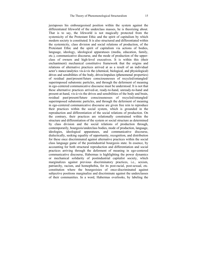juxtaposes his embourgeoised position within the system against the differentiated lifeworld of the underclass masses, he is theorizing about. That is to say, the lifeworld is not magically protected from the systemicity of the Protestant Ethic and the spirit of capitalism by which modern society is constituted. It is also structured and differentiated within the systemicity, class division and social relations of production, of the Protestant Ethic and the spirit of capitalism via actions of bodies, language, ideology, ideological apparatuses (media, education, family, etc.), communicative discourse, and the mode of production of the upperclass of owners and high-level executives. It is within this (their enchantment) mechanical constitutive framework that the origins and relations of alternative practices arrived at as a result of an individual actor's stance/analytics vis-à-vis the (chemical, biological, and physiological) drives and sensibilities of the body, drives/impulses (phenomenal properties) of residual past/present/future consciousnesses of recycled/entangled/ superimposed subatomic particles, and through the deferment of meaning in ego-centered communicative discourse must be understood. It is not that these alternative practices arrived-at, ready-to-hand, unready-to-hand and present-at-hand, vis-à-vis the drives and sensibilities of the body and brain, residual past/present/future consciousnesses of recycled/entangled/ superimposed subatomic particles, and through the deferment of meaning in ego-centered communicative discourse are given free rein to reproduce their practices within the social system, which is grounded in the reproduction and differentiation of the social relations of production. On the contrary, their practices are relationally constrained within the structure and differentiation of the system or social structure as determined by class division and the social relations of production through, contemporarily, bourgeois/underclass bodies, mode of production, language, ideologies, ideological apparatuses, and communicative discourse, dialectically, seeking equality of opportunity, recognition, and distribution for these once discriminated against alternative practices within the social class language game of the postindustrial bourgeois state. In essence, by accounting for both structural reproduction and differentiation and social practices arriving through the deferment of meaning in ego-centered communicative discourse, Habermas is highlighting the power dynamics or mechanical solidarity of postindustrial capitalist society, which marginalizes against previous discriminatory practices, i.e., sexism, patriarchy, racism, and homophobia, for its post-racial, post-sexual, etc. constitution where the bourgeoisies of once-discriminated against subjective positions marginalize and discriminate against the underclasses of their communities. In a word, Habermas overlooks, by labeling the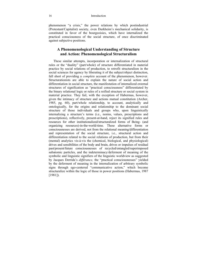phenomenon "a crisis," the power relations by which postindustrial (Protestant/Capitalist) society, even Durkheim's mechanical solidarity, is constituted in favor of the bourgeoisies, which have internalized the practical consciousness of the social structure, of once discriminated against subjective positions.

### **A Phenomenological Understanding of Structure and Action: Phenomenological Structuralism**

These similar attempts, incorporation or internalization of structural rules or the "duality" (part/whole) of structure differentiated in material practice by social relations of production, to retrofit structuralism in the social sciences for agency by liberating it of the subject/object distinction, fall short of providing a *complete* account of the phenomenon, however. Structurationists are able to explain the nature of social action and differentiation in social structure, the manifestation of internalized external structures of signification as "practical consciousness" differentiated by the binary relational logic or rules of a reified structure or social system in material practice. They fail, with the exception of Habermas, however, given the intimacy of structure and actions mutual constitution (Archer, 1985, pg. 60), part/whole relationship, to account, analytically and ontologically, for the origins and relationship to the dominant social structure of those individuals and groups who, upon linguistically internalizing a structure's terms (i.e., norms, values, prescriptions and proscriptions), reflectively, present-at-hand, reject its signified rules and resources for other institutionalized/structuralized forms of Being- (and organizing resources)-in-the-world-time. These alternative forms or consciousnesses are derived, not from the relational meaning/differentiation and representation of the social structure, i.e., structural action and differentiation related to the social relations of production, but from their (mental) analytics vis-à-vis the (chemical, biological, and physiological) drives and sensibilities of the body and brain, drives or impulses of residual past/present/future consciousnesses of recycled/entangled/superimposed subatomic particles, and the indeterminacy/deferment of meaning of the symbolic and linguistic signifiers of the linguistic worldview as suggested by Jacques Derrida's *différance,* the "practical consciousnesses" yielded by the deferment of meaning in the internalization of arbitrary symbolic signs through ego-centered "communicative action," which become structuralize within the logic of those in power positions (Habermas, 1987 [1981]).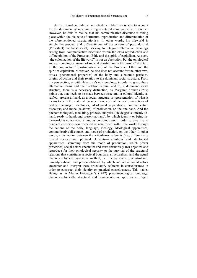Unlike, Bourdieu, Sahlins, and Giddens, Habermas is able to account for the deferment of meaning in ego-centered communicative discourse. However, he fails to realize that his communicative discourse is taking place within the dialectic of structural reproduction and differentiation of the aforementioned structurationists. In other words, his lifeworld is simply the product and differentiation of the system of postindustrial (Protestant) capitalist society seeking to integrate alternative meanings arising from communicative discourse within the class reproduction and differentiation of the Protestant Ethic and the spirit of capitalism. As such, "the colonization of the lifeworld" is not an aberration, but the ontological and epistemological nature of societal constitution in the current "structure of the conjuncture" (postindustrialism) of the Protestant Ethic and the spirit of capitalism. Moreover, he also does not account for the other two, drives (phenomenal properties) of the body and subatomic particles, origins of action and their relation to the dominant social structure. From my perspective, as with Habermas's epistemology, in order to grasp these alternative forms and their relation within, and to, a dominant social structure, there is a necessary distinction, as Margaret Archer (1985) points out, that needs to be made between structural or cultural identity as reified, present-at-hand, as a social structure or representation of what it means to be in the material resource framework of the world via actions of bodies, language, ideologies, ideological apparatuses, communicative discourse, and mode (relations) of production, on the one hand. And the phenomenological, mediating, process, analytics (Heidegger's unready-tohand; ready-to-hand; and present-at-hand), by which identity or being-inthe-world is constructed in and as consciousness in order to give rise to practical consciousness revealed or manifested within the world through the actions of the body, language, ideology, ideological apparatuses, communicative discourse, and mode of production, on the other. In other words, a distinction between the articulatory referents (i.e., differentially related sociocultural political elements—institutions and ideological apparatuses—stemming from the mode of production, which power prescribes) social actors encounter and must recursively (re) organize and reproduce for their ontological security or the survival of the structural relations that constitutes a societal boundary, structuralism, and the actual phenomenological process or method, i.e., mental states, ready-to-hand, unready-to-hand, and present-at-hand, by which individual social actors encounter and interpret these articulatory referents in consciousness in order to construct their identity or practical consciousness. This makes Being, as in Martin Heidegger's (1927) phenomenological ontology, phenomenologically structural and hermeneutic or split, as in Jürgen